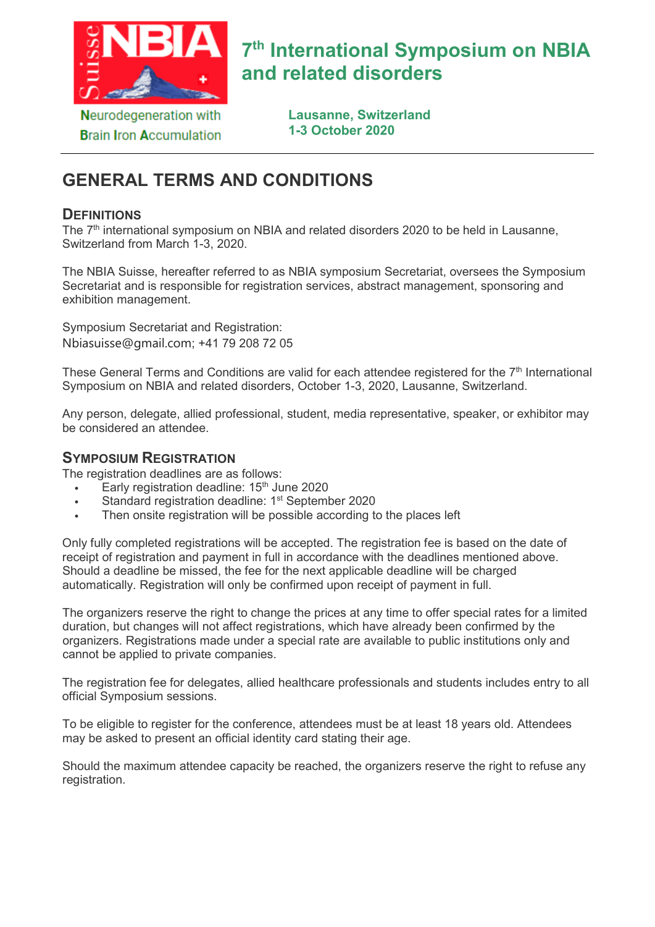

**Brain Iron Accumulation** 

# **7th International Symposium on NBIA and related disorders**

**Lausanne, Switzerland 1-3 October 2020**

# **GENERAL TERMS AND CONDITIONS**

#### **DEFINITIONS**

The 7<sup>th</sup> international symposium on NBIA and related disorders 2020 to be held in Lausanne, Switzerland from March 1-3, 2020.

The NBIA Suisse, hereafter referred to as NBIA symposium Secretariat, oversees the Symposium Secretariat and is responsible for registration services, abstract management, sponsoring and exhibition management.

Symposium Secretariat and Registration: Nbiasuisse@gmail.com; +41 79 208 72 05

These General Terms and Conditions are valid for each attendee registered for the 7<sup>th</sup> International Symposium on NBIA and related disorders, October 1-3, 2020, Lausanne, Switzerland.

Any person, delegate, allied professional, student, media representative, speaker, or exhibitor may be considered an attendee.

# **SYMPOSIUM REGISTRATION**

The registration deadlines are as follows:

- **Early registration deadline: 15<sup>th</sup> June 2020**
- Standard registration deadline: 1<sup>st</sup> September 2020
- Then onsite registration will be possible according to the places left

Only fully completed registrations will be accepted. The registration fee is based on the date of receipt of registration and payment in full in accordance with the deadlines mentioned above. Should a deadline be missed, the fee for the next applicable deadline will be charged automatically. Registration will only be confirmed upon receipt of payment in full.

The organizers reserve the right to change the prices at any time to offer special rates for a limited duration, but changes will not affect registrations, which have already been confirmed by the organizers. Registrations made under a special rate are available to public institutions only and cannot be applied to private companies.

The registration fee for delegates, allied healthcare professionals and students includes entry to all official Symposium sessions.

To be eligible to register for the conference, attendees must be at least 18 years old. Attendees may be asked to present an official identity card stating their age.

Should the maximum attendee capacity be reached, the organizers reserve the right to refuse any registration.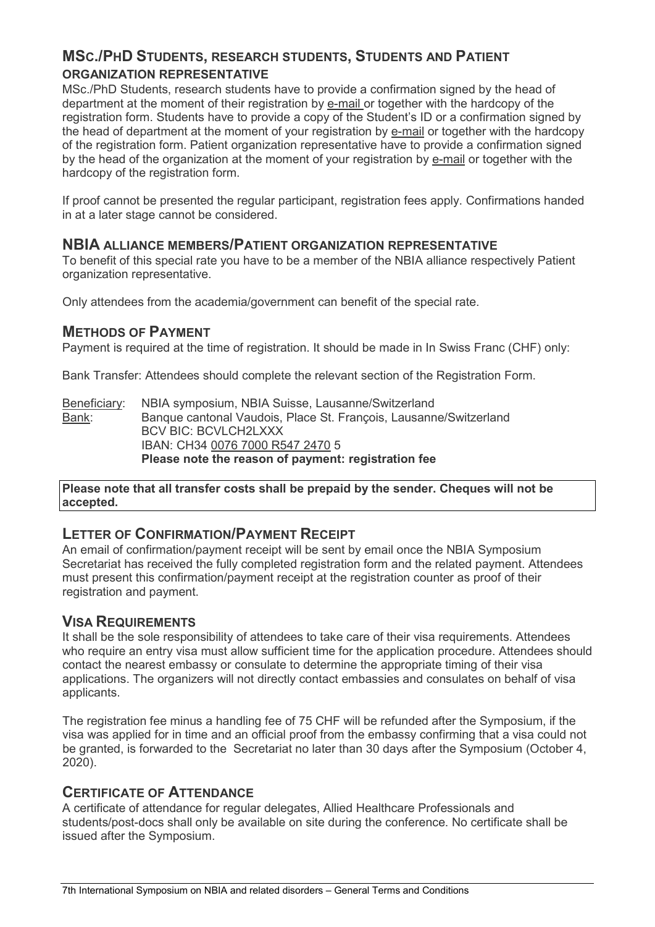# **MSC./PHD STUDENTS, RESEARCH STUDENTS, STUDENTS AND PATIENT ORGANIZATION REPRESENTATIVE**

MSc./PhD Students, research students have to provide a confirmation signed by the head of department at the moment of their registration by [e-mail](javascript:DeCryptX() or together with the hardcopy of the registration form. Students have to provide a copy of the Student's ID or a confirmation signed by the head of department at the moment of your registration by [e-mail](javascript:DeCryptX() or together with the hardcopy of the registration form. Patient organization representative have to provide a confirmation signed by the head of the organization at the moment of your registration by [e-mail](javascript:DeCryptX() or together with the hardcopy of the registration form.

If proof cannot be presented the regular participant, registration fees apply. Confirmations handed in at a later stage cannot be considered.

#### **NBIA ALLIANCE MEMBERS/PATIENT ORGANIZATION REPRESENTATIVE**

To benefit of this special rate you have to be a member of the NBIA alliance respectively Patient organization representative.

Only attendees from the academia/government can benefit of the special rate.

#### **METHODS OF PAYMENT**

Payment is required at the time of registration. It should be made in In Swiss Franc (CHF) only:

Bank Transfer: Attendees should complete the relevant section of the Registration Form.

Beneficiary: NBIA symposium, NBIA Suisse, Lausanne/Switzerland Bank: Banque cantonal Vaudois, Place St. François, Lausanne/Switzerland BCV BIC: BCVLCH2LXXX IBAN: CH34 0076 7000 R547 2470 5 **Please note the reason of payment: registration fee**

**Please note that all transfer costs shall be prepaid by the sender. Cheques will not be accepted.**

### **LETTER OF CONFIRMATION/PAYMENT RECEIPT**

An email of confirmation/payment receipt will be sent by email once the NBIA Symposium Secretariat has received the fully completed registration form and the related payment. Attendees must present this confirmation/payment receipt at the registration counter as proof of their registration and payment.

### **VISA REQUIREMENTS**

It shall be the sole responsibility of attendees to take care of their visa requirements. Attendees who require an entry visa must allow sufficient time for the application procedure. Attendees should contact the nearest embassy or consulate to determine the appropriate timing of their visa applications. The organizers will not directly contact embassies and consulates on behalf of visa applicants.

The registration fee minus a handling fee of 75 CHF will be refunded after the Symposium, if the visa was applied for in time and an official proof from the embassy confirming that a visa could not be granted, is forwarded to the Secretariat no later than 30 days after the Symposium (October 4, 2020).

### **CERTIFICATE OF ATTENDANCE**

A certificate of attendance for regular delegates, Allied Healthcare Professionals and students/post-docs shall only be available on site during the conference. No certificate shall be issued after the Symposium.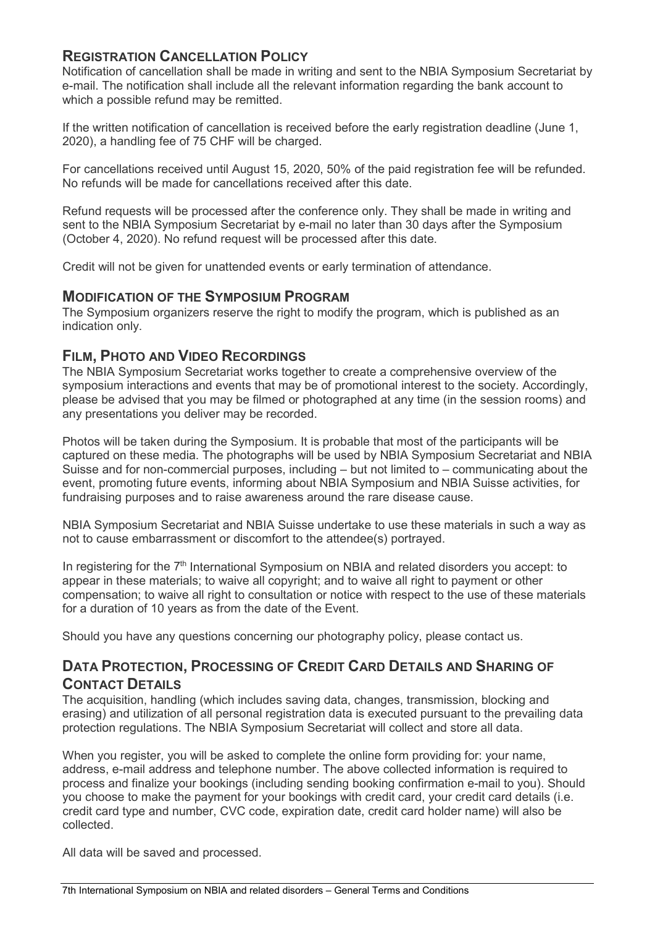# **REGISTRATION CANCELLATION POLICY**

Notification of cancellation shall be made in writing and sent to the NBIA Symposium Secretariat by e-mail. The notification shall include all the relevant information regarding the bank account to which a possible refund may be remitted.

If the written notification of cancellation is received before the early registration deadline (June 1, 2020), a handling fee of 75 CHF will be charged.

For cancellations received until August 15, 2020, 50% of the paid registration fee will be refunded. No refunds will be made for cancellations received after this date.

Refund requests will be processed after the conference only. They shall be made in writing and sent to the NBIA Symposium Secretariat by e-mail no later than 30 days after the Symposium (October 4, 2020). No refund request will be processed after this date.

Credit will not be given for unattended events or early termination of attendance.

#### **MODIFICATION OF THE SYMPOSIUM PROGRAM**

The Symposium organizers reserve the right to modify the program, which is published as an indication only.

### **FILM, PHOTO AND VIDEO RECORDINGS**

The NBIA Symposium Secretariat works together to create a comprehensive overview of the symposium interactions and events that may be of promotional interest to the society. Accordingly, please be advised that you may be filmed or photographed at any time (in the session rooms) and any presentations you deliver may be recorded.

Photos will be taken during the Symposium. It is probable that most of the participants will be captured on these media. The photographs will be used by NBIA Symposium Secretariat and NBIA Suisse and for non-commercial purposes, including – but not limited to – communicating about the event, promoting future events, informing about NBIA Symposium and NBIA Suisse activities, for fundraising purposes and to raise awareness around the rare disease cause.

NBIA Symposium Secretariat and NBIA Suisse undertake to use these materials in such a way as not to cause embarrassment or discomfort to the attendee(s) portrayed.

In registering for the 7<sup>th</sup> International Symposium on NBIA and related disorders you accept: to appear in these materials; to waive all copyright; and to waive all right to payment or other compensation; to waive all right to consultation or notice with respect to the use of these materials for a duration of 10 years as from the date of the Event.

Should you have any questions concerning our photography policy, please contact us.

# **DATA PROTECTION, PROCESSING OF CREDIT CARD DETAILS AND SHARING OF CONTACT DETAILS**

The acquisition, handling (which includes saving data, changes, transmission, blocking and erasing) and utilization of all personal registration data is executed pursuant to the prevailing data protection regulations. The NBIA Symposium Secretariat will collect and store all data.

When you register, you will be asked to complete the online form providing for: your name, address, e-mail address and telephone number. The above collected information is required to process and finalize your bookings (including sending booking confirmation e-mail to you). Should you choose to make the payment for your bookings with credit card, your credit card details (i.e. credit card type and number, CVC code, expiration date, credit card holder name) will also be collected.

All data will be saved and processed.